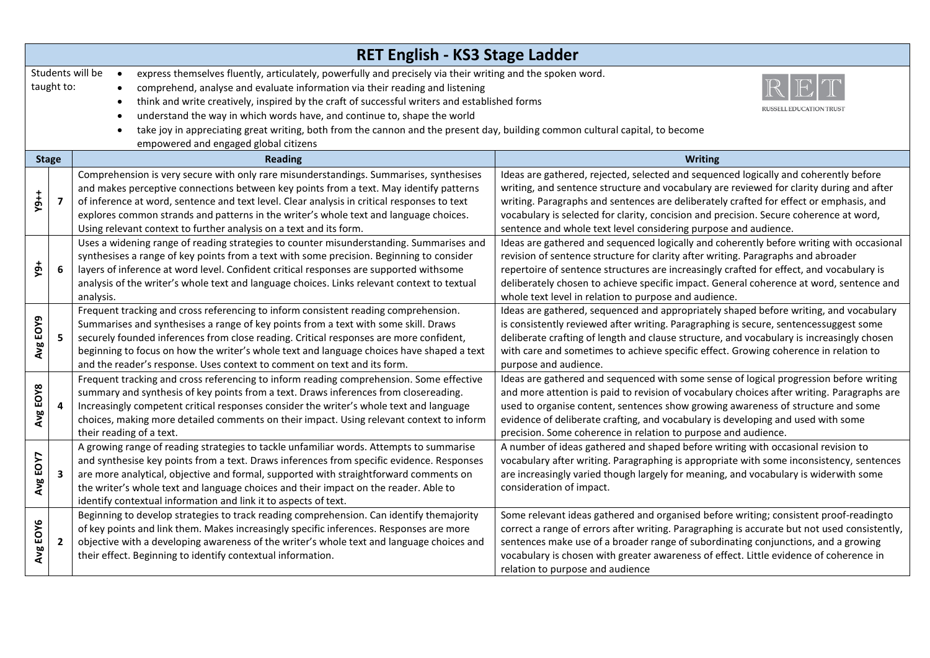| RET English - KS3 Stage Ladder                                                                                                                                                                                                                                                                                                                                                                                                                                                                                                                                                                                             |                |                                                                                                                                                                                                                                                                                                                                                                                                                                                |                                                                                                                                                                                                                                                                                                                                                                                                                                         |  |  |
|----------------------------------------------------------------------------------------------------------------------------------------------------------------------------------------------------------------------------------------------------------------------------------------------------------------------------------------------------------------------------------------------------------------------------------------------------------------------------------------------------------------------------------------------------------------------------------------------------------------------------|----------------|------------------------------------------------------------------------------------------------------------------------------------------------------------------------------------------------------------------------------------------------------------------------------------------------------------------------------------------------------------------------------------------------------------------------------------------------|-----------------------------------------------------------------------------------------------------------------------------------------------------------------------------------------------------------------------------------------------------------------------------------------------------------------------------------------------------------------------------------------------------------------------------------------|--|--|
| Students will be<br>express themselves fluently, articulately, powerfully and precisely via their writing and the spoken word.<br>$\bullet$<br>taught to:<br>comprehend, analyse and evaluate information via their reading and listening<br>think and write creatively, inspired by the craft of successful writers and established forms<br>understand the way in which words have, and continue to, shape the world<br>$\bullet$<br>take joy in appreciating great writing, both from the cannon and the present day, building common cultural capital, to become<br>$\bullet$<br>empowered and engaged global citizens |                |                                                                                                                                                                                                                                                                                                                                                                                                                                                |                                                                                                                                                                                                                                                                                                                                                                                                                                         |  |  |
|                                                                                                                                                                                                                                                                                                                                                                                                                                                                                                                                                                                                                            | <b>Stage</b>   | <b>Reading</b>                                                                                                                                                                                                                                                                                                                                                                                                                                 | Writing                                                                                                                                                                                                                                                                                                                                                                                                                                 |  |  |
| $Y9+1$                                                                                                                                                                                                                                                                                                                                                                                                                                                                                                                                                                                                                     | $\overline{ }$ | Comprehension is very secure with only rare misunderstandings. Summarises, synthesises<br>and makes perceptive connections between key points from a text. May identify patterns<br>of inference at word, sentence and text level. Clear analysis in critical responses to text<br>explores common strands and patterns in the writer's whole text and language choices.<br>Using relevant context to further analysis on a text and its form. | Ideas are gathered, rejected, selected and sequenced logically and coherently before<br>writing, and sentence structure and vocabulary are reviewed for clarity during and after<br>writing. Paragraphs and sentences are deliberately crafted for effect or emphasis, and<br>vocabulary is selected for clarity, concision and precision. Secure coherence at word,<br>sentence and whole text level considering purpose and audience. |  |  |
| <b>+6</b>                                                                                                                                                                                                                                                                                                                                                                                                                                                                                                                                                                                                                  | 6              | Uses a widening range of reading strategies to counter misunderstanding. Summarises and<br>synthesises a range of key points from a text with some precision. Beginning to consider<br>layers of inference at word level. Confident critical responses are supported withsome<br>analysis of the writer's whole text and language choices. Links relevant context to textual<br>analysis.                                                      | Ideas are gathered and sequenced logically and coherently before writing with occasional<br>revision of sentence structure for clarity after writing. Paragraphs and abroader<br>repertoire of sentence structures are increasingly crafted for effect, and vocabulary is<br>deliberately chosen to achieve specific impact. General coherence at word, sentence and<br>whole text level in relation to purpose and audience.           |  |  |
| Avg EOY9                                                                                                                                                                                                                                                                                                                                                                                                                                                                                                                                                                                                                   | 5.             | Frequent tracking and cross referencing to inform consistent reading comprehension.<br>Summarises and synthesises a range of key points from a text with some skill. Draws<br>securely founded inferences from close reading. Critical responses are more confident,<br>beginning to focus on how the writer's whole text and language choices have shaped a text<br>and the reader's response. Uses context to comment on text and its form.  | Ideas are gathered, sequenced and appropriately shaped before writing, and vocabulary<br>is consistently reviewed after writing. Paragraphing is secure, sentencessuggest some<br>deliberate crafting of length and clause structure, and vocabulary is increasingly chosen<br>with care and sometimes to achieve specific effect. Growing coherence in relation to<br>purpose and audience.                                            |  |  |
| Avg EOY8                                                                                                                                                                                                                                                                                                                                                                                                                                                                                                                                                                                                                   | 4              | Frequent tracking and cross referencing to inform reading comprehension. Some effective<br>summary and synthesis of key points from a text. Draws inferences from closereading.<br>Increasingly competent critical responses consider the writer's whole text and language<br>choices, making more detailed comments on their impact. Using relevant context to inform<br>their reading of a text.                                             | Ideas are gathered and sequenced with some sense of logical progression before writing<br>and more attention is paid to revision of vocabulary choices after writing. Paragraphs are<br>used to organise content, sentences show growing awareness of structure and some<br>evidence of deliberate crafting, and vocabulary is developing and used with some<br>precision. Some coherence in relation to purpose and audience.          |  |  |
| Avg EOY7                                                                                                                                                                                                                                                                                                                                                                                                                                                                                                                                                                                                                   | 3              | A growing range of reading strategies to tackle unfamiliar words. Attempts to summarise<br>and synthesise key points from a text. Draws inferences from specific evidence. Responses<br>are more analytical, objective and formal, supported with straightforward comments on<br>the writer's whole text and language choices and their impact on the reader. Able to<br>identify contextual information and link it to aspects of text.       | A number of ideas gathered and shaped before writing with occasional revision to<br>vocabulary after writing. Paragraphing is appropriate with some inconsistency, sentences<br>are increasingly varied though largely for meaning, and vocabulary is widerwith some<br>consideration of impact.                                                                                                                                        |  |  |
| Avg EOY6                                                                                                                                                                                                                                                                                                                                                                                                                                                                                                                                                                                                                   | $\overline{2}$ | Beginning to develop strategies to track reading comprehension. Can identify themajority<br>of key points and link them. Makes increasingly specific inferences. Responses are more<br>objective with a developing awareness of the writer's whole text and language choices and<br>their effect. Beginning to identify contextual information.                                                                                                | Some relevant ideas gathered and organised before writing; consistent proof-readingto<br>correct a range of errors after writing. Paragraphing is accurate but not used consistently,<br>sentences make use of a broader range of subordinating conjunctions, and a growing<br>vocabulary is chosen with greater awareness of effect. Little evidence of coherence in<br>relation to purpose and audience                               |  |  |